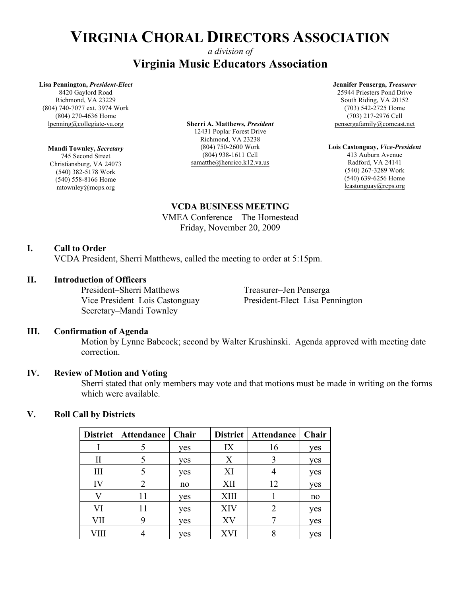### *a division of* **Virginia Music Educators Association**

#### **Lisa Pennington,** *President-Elect*

8420 Gaylord Road Richmond, VA 23229 (804) 740-7077 ext. 3974 Work (804) 270-4636 Home lpenning@collegiate-va.org

**Mandi Townley,** *Secretary* 745 Second Street Christiansburg, VA 24073 (540) 382-5178 Work (540) 558-8166 Home mtownley@mcps.org

**Sherri A. Matthews,** *President* 12431 Poplar Forest Drive Richmond, VA 23238 (804) 750-2600 Work (804) 938-1611 Cell samatthe@henrico.k12.va.us

**Jennifer Penserga,** *Treasurer* 25944 Priesters Pond Drive South Riding, VA 20152 (703) 542-2725 Home (703) 217-2976 Cell pensergafamily@comcast.net

**Lois Castonguay,** *Vice-President* 413 Auburn Avenue Radford, VA 24141 (540) 267-3289 Work (540) 639-6256 Home lcastonguay@rcps.org

#### **VCDA BUSINESS MEETING**

VMEA Conference – The Homestead Friday, November 20, 2009

#### **I. Call to Order**

VCDA President, Sherri Matthews, called the meeting to order at 5:15pm.

#### **II. Introduction of Officers**

President–Sherri Matthews Treasurer–Jen Penserga Secretary–Mandi Townley

Vice President–Lois Castonguay President-Elect–Lisa Pennington

#### **III. Confirmation of Agenda**

Motion by Lynne Babcock; second by Walter Krushinski. Agenda approved with meeting date correction.

#### **IV. Review of Motion and Voting**

Sherri stated that only members may vote and that motions must be made in writing on the forms which were available.

#### **V. Roll Call by Districts**

| District | Attendance | <b>Chair</b> |             | District   Attendance | Chair |
|----------|------------|--------------|-------------|-----------------------|-------|
|          |            | yes          | IX          | 16                    | yes   |
| П        |            | yes          | X           |                       | yes   |
| III      |            | yes          | XI          |                       | yes   |
| IV       |            | no           | XII         | 12                    | yes   |
|          | 11         | yes          | <b>XIII</b> |                       | no    |
| VI       | 11         | yes          | XIV         | 2                     | ves   |
| VII      |            | yes          | XV          |                       | yes   |
|          |            | yes          | XVI         |                       | yes   |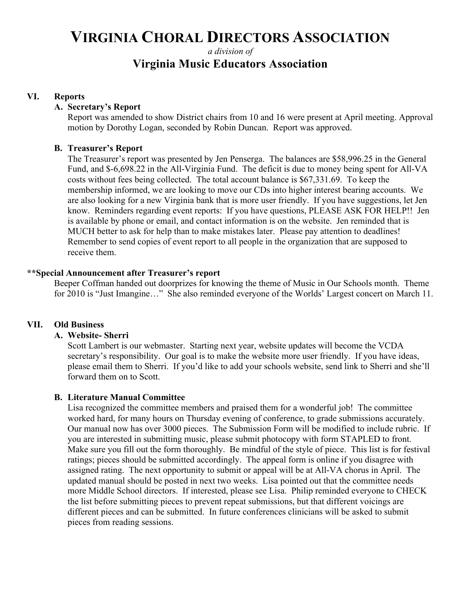### *a division of* **Virginia Music Educators Association**

#### **VI. Reports**

#### **A. Secretary's Report**

Report was amended to show District chairs from 10 and 16 were present at April meeting. Approval motion by Dorothy Logan, seconded by Robin Duncan. Report was approved.

#### **B. Treasurer's Report**

The Treasurer's report was presented by Jen Penserga. The balances are \$58,996.25 in the General Fund, and \$-6,698.22 in the All-Virginia Fund. The deficit is due to money being spent for All-VA costs without fees being collected. The total account balance is \$67,331.69. To keep the membership informed, we are looking to move our CDs into higher interest bearing accounts. We are also looking for a new Virginia bank that is more user friendly. If you have suggestions, let Jen know. Reminders regarding event reports: If you have questions, PLEASE ASK FOR HELP!! Jen is available by phone or email, and contact information is on the website. Jen reminded that is MUCH better to ask for help than to make mistakes later. Please pay attention to deadlines! Remember to send copies of event report to all people in the organization that are supposed to receive them.

#### **\*\*Special Announcement after Treasurer's report**

Beeper Coffman handed out doorprizes for knowing the theme of Music in Our Schools month. Theme for 2010 is "Just Imangine…" She also reminded everyone of the Worlds' Largest concert on March 11.

#### **VII. Old Business**

#### **A. Website- Sherri**

Scott Lambert is our webmaster. Starting next year, website updates will become the VCDA secretary's responsibility. Our goal is to make the website more user friendly. If you have ideas, please email them to Sherri. If you'd like to add your schools website, send link to Sherri and she'll forward them on to Scott.

#### **B. Literature Manual Committee**

Lisa recognized the committee members and praised them for a wonderful job! The committee worked hard, for many hours on Thursday evening of conference, to grade submissions accurately. Our manual now has over 3000 pieces. The Submission Form will be modified to include rubric. If you are interested in submitting music, please submit photocopy with form STAPLED to front. Make sure you fill out the form thoroughly. Be mindful of the style of piece. This list is for festival ratings; pieces should be submitted accordingly. The appeal form is online if you disagree with assigned rating. The next opportunity to submit or appeal will be at All-VA chorus in April. The updated manual should be posted in next two weeks. Lisa pointed out that the committee needs more Middle School directors. If interested, please see Lisa. Philip reminded everyone to CHECK the list before submitting pieces to prevent repeat submissions, but that different voicings are different pieces and can be submitted. In future conferences clinicians will be asked to submit pieces from reading sessions.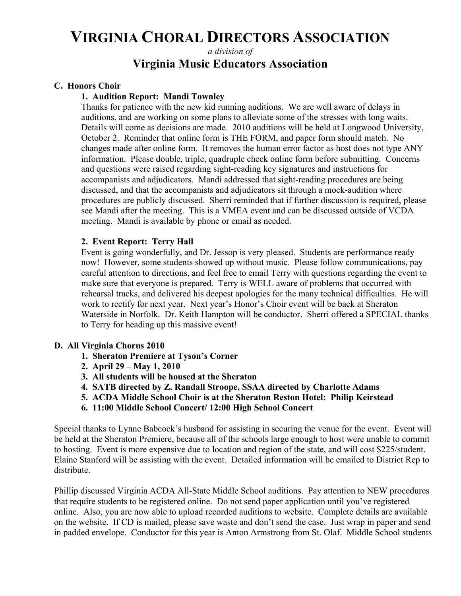*a division of*

## **Virginia Music Educators Association**

#### **C. Honors Choir**

#### **1. Audition Report: Mandi Townley**

Thanks for patience with the new kid running auditions. We are well aware of delays in auditions, and are working on some plans to alleviate some of the stresses with long waits. Details will come as decisions are made. 2010 auditions will be held at Longwood University, October 2. Reminder that online form is THE FORM, and paper form should match. No changes made after online form. It removes the human error factor as host does not type ANY information. Please double, triple, quadruple check online form before submitting. Concerns and questions were raised regarding sight-reading key signatures and instructions for accompanists and adjudicators. Mandi addressed that sight-reading procedures are being discussed, and that the accompanists and adjudicators sit through a mock-audition where procedures are publicly discussed. Sherri reminded that if further discussion is required, please see Mandi after the meeting. This is a VMEA event and can be discussed outside of VCDA meeting. Mandi is available by phone or email as needed.

#### **2. Event Report: Terry Hall**

Event is going wonderfully, and Dr. Jessop is very pleased. Students are performance ready now! However, some students showed up without music. Please follow communications, pay careful attention to directions, and feel free to email Terry with questions regarding the event to make sure that everyone is prepared. Terry is WELL aware of problems that occurred with rehearsal tracks, and delivered his deepest apologies for the many technical difficulties. He will work to rectify for next year. Next year's Honor's Choir event will be back at Sheraton Waterside in Norfolk. Dr. Keith Hampton will be conductor. Sherri offered a SPECIAL thanks to Terry for heading up this massive event!

#### **D. All Virginia Chorus 2010**

- **1. Sheraton Premiere at Tyson's Corner**
- **2. April 29 – May 1, 2010**
- **3. All students will be housed at the Sheraton**
- **4. SATB directed by Z. Randall Stroope, SSAA directed by Charlotte Adams**
- **5. ACDA Middle School Choir is at the Sheraton Reston Hotel: Philip Keirstead**
- **6. 11:00 Middle School Concert/ 12:00 High School Concert**

Special thanks to Lynne Babcock's husband for assisting in securing the venue for the event. Event will be held at the Sheraton Premiere, because all of the schools large enough to host were unable to commit to hosting. Event is more expensive due to location and region of the state, and will cost \$225/student. Elaine Stanford will be assisting with the event. Detailed information will be emailed to District Rep to distribute.

Phillip discussed Virginia ACDA All-State Middle School auditions. Pay attention to NEW procedures that require students to be registered online. Do not send paper application until you've registered online. Also, you are now able to upload recorded auditions to website. Complete details are available on the website. If CD is mailed, please save waste and don't send the case. Just wrap in paper and send in padded envelope. Conductor for this year is Anton Armstrong from St. Olaf. Middle School students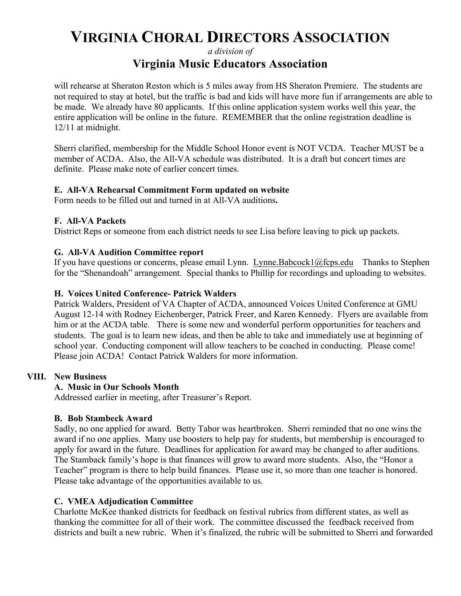*a division of*

## **Virginia Music Educators Association**

will rehearse at Sheraton Reston which is 5 miles away from HS Sheraton Premiere. The students are not required to stay at hotel, but the traffic is bad and kids will have more fun if arrangements are able to be made. We already have 80 applicants. If this online application system works well this year, the entire application will be online in the future. REMEMBER that the online registration deadline is 12/11 at midnight.

Sherri clarified, membership for the Middle School Honor event is NOT VCDA. Teacher MUST be a member of ACDA. Also, the All-VA schedule was distributed. It is a draft but concert times are definite. Please make note of earlier concert times.

#### **E. All-VA Rehearsal Commitment Form updated on website**

Form needs to be filled out and turned in at All-VA auditions**.**

#### **F. All-VA Packets**

District Reps or someone from each district needs to see Lisa before leaving to pick up packets.

#### **G. All-VA Audition Committee report**

If you have questions or concerns, please email Lynn. Lynne.Babcock1@fcps.eduThanks to Stephen for the "Shenandoah" arrangement. Special thanks to Phillip for recordings and uploading to websites.

#### **H. Voices United Conference- Patrick Walders**

Patrick Walders, President of VA Chapter of ACDA, announced Voices United Conference at GMU August 12-14 with Rodney Eichenberger, Patrick Freer, and Karen Kennedy. Flyers are available from him or at the ACDA table. There is some new and wonderful perform opportunities for teachers and students. The goal is to learn new ideas, and then be able to take and immediately use at beginning of school year. Conducting component will allow teachers to be coached in conducting. Please come! Please join ACDA! Contact Patrick Walders for more information.

#### **VIII. New Business**

#### **A. Music in Our Schools Month**

Addressed earlier in meeting, after Treasurer's Report.

#### **B. Bob Stambeck Award**

Sadly, no one applied for award. Betty Tabor was heartbroken. Sherri reminded that no one wins the award if no one applies. Many use boosters to help pay for students, but membership is encouraged to apply for award in the future. Deadlines for application for award may be changed to after auditions. The Stamback family's hope is that finances will grow to award more students. Also, the "Honor a Teacher" program is there to help build finances. Please use it, so more than one teacher is honored. Please take advantage of the opportunities available to us.

#### **C. VMEA Adjudication Committee**

Charlotte McKee thanked districts for feedback on festival rubrics from different states, as well as thanking the committee for all of their work. The committee discussed the feedback received from districts and built a new rubric. When it's finalized, the rubric will be submitted to Sherri and forwarded